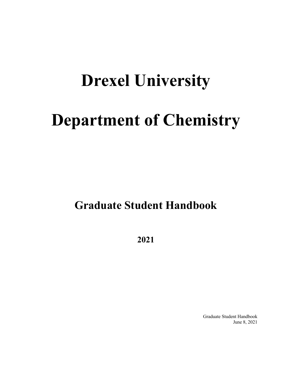# **Drexel University**

# **Department of Chemistry**

**Graduate Student Handbook**

**2021**

Graduate Student Handbook June 8, 2021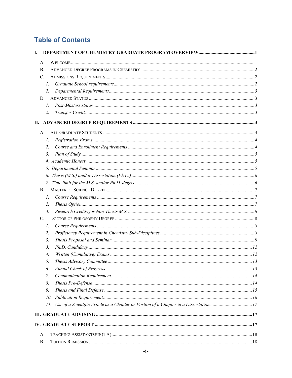# **Table of Contents**

| А.<br>В.<br>$C_{\cdot}$<br>$\mathcal{I}$ .<br>2.<br>D.<br>$l_{\cdot}$<br>2.<br>A.<br>1.<br>2.<br>$\mathfrak{Z}$ .<br>B.<br>$\mathcal{I}$ .<br>2.<br>$\mathfrak{Z}$ .<br>C.<br>$\mathcal{I}$ .<br>2.<br>$\mathfrak{Z}$ .<br>3.<br>4.<br>5.<br>6.<br>7.<br>8.<br>9.<br>10.<br>11. Use of a Scientific Article as a Chapter or Portion of a Chapter in a Dissertation 17 | I. |  |
|-----------------------------------------------------------------------------------------------------------------------------------------------------------------------------------------------------------------------------------------------------------------------------------------------------------------------------------------------------------------------|----|--|
|                                                                                                                                                                                                                                                                                                                                                                       |    |  |
|                                                                                                                                                                                                                                                                                                                                                                       |    |  |
|                                                                                                                                                                                                                                                                                                                                                                       |    |  |
|                                                                                                                                                                                                                                                                                                                                                                       |    |  |
|                                                                                                                                                                                                                                                                                                                                                                       |    |  |
|                                                                                                                                                                                                                                                                                                                                                                       |    |  |
|                                                                                                                                                                                                                                                                                                                                                                       |    |  |
|                                                                                                                                                                                                                                                                                                                                                                       |    |  |
|                                                                                                                                                                                                                                                                                                                                                                       |    |  |
|                                                                                                                                                                                                                                                                                                                                                                       |    |  |
|                                                                                                                                                                                                                                                                                                                                                                       |    |  |
|                                                                                                                                                                                                                                                                                                                                                                       |    |  |
|                                                                                                                                                                                                                                                                                                                                                                       |    |  |
|                                                                                                                                                                                                                                                                                                                                                                       |    |  |
|                                                                                                                                                                                                                                                                                                                                                                       |    |  |
|                                                                                                                                                                                                                                                                                                                                                                       |    |  |
|                                                                                                                                                                                                                                                                                                                                                                       |    |  |
|                                                                                                                                                                                                                                                                                                                                                                       |    |  |
|                                                                                                                                                                                                                                                                                                                                                                       |    |  |
|                                                                                                                                                                                                                                                                                                                                                                       |    |  |
|                                                                                                                                                                                                                                                                                                                                                                       |    |  |
|                                                                                                                                                                                                                                                                                                                                                                       |    |  |
|                                                                                                                                                                                                                                                                                                                                                                       |    |  |
|                                                                                                                                                                                                                                                                                                                                                                       |    |  |
|                                                                                                                                                                                                                                                                                                                                                                       |    |  |
|                                                                                                                                                                                                                                                                                                                                                                       |    |  |
|                                                                                                                                                                                                                                                                                                                                                                       |    |  |
|                                                                                                                                                                                                                                                                                                                                                                       |    |  |
|                                                                                                                                                                                                                                                                                                                                                                       |    |  |
|                                                                                                                                                                                                                                                                                                                                                                       |    |  |
|                                                                                                                                                                                                                                                                                                                                                                       |    |  |
|                                                                                                                                                                                                                                                                                                                                                                       |    |  |
|                                                                                                                                                                                                                                                                                                                                                                       |    |  |
|                                                                                                                                                                                                                                                                                                                                                                       |    |  |
|                                                                                                                                                                                                                                                                                                                                                                       |    |  |
|                                                                                                                                                                                                                                                                                                                                                                       |    |  |
| А.                                                                                                                                                                                                                                                                                                                                                                    |    |  |
| В.                                                                                                                                                                                                                                                                                                                                                                    |    |  |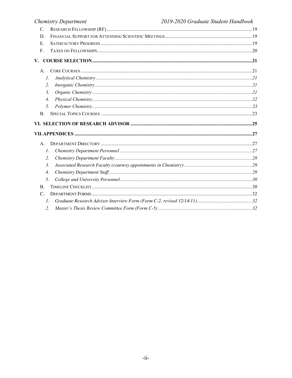## 2019-2020 Graduate Student Handbook

| <b>Chemistry Department</b> | 2019-2020 Graduate Student Handbook |
|-----------------------------|-------------------------------------|
| C.                          |                                     |
| D.                          |                                     |
| E.                          |                                     |
| F.                          |                                     |
| V.                          |                                     |
| A.                          |                                     |
| $\mathcal{I}$ .             |                                     |
| 2.                          |                                     |
| 3 <sub>1</sub>              |                                     |
| 4.                          |                                     |
| 5.                          |                                     |
| <b>B.</b>                   |                                     |
|                             |                                     |
|                             |                                     |
| $A_{\cdot}$                 |                                     |
| 1.                          |                                     |
| 2.                          |                                     |
| $\mathfrak{Z}$ .            |                                     |
| $\overline{4}$ .            |                                     |
| 5.                          |                                     |
| <b>B.</b>                   |                                     |
| $\mathcal{C}$ .             |                                     |
| $\mathcal{I}$ .             |                                     |
| 2.                          |                                     |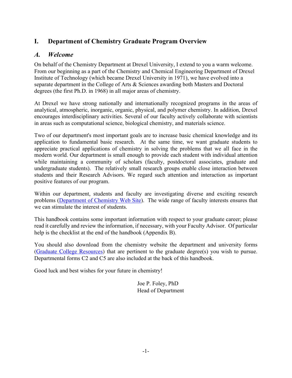# **I. Department of Chemistry Graduate Program Overview**

# *A. Welcome*

On behalf of the Chemistry Department at Drexel University, I extend to you a warm welcome. From our beginning as a part of the Chemistry and Chemical Engineering Department of Drexel Institute of Technology (which became Drexel University in 1971), we have evolved into a separate department in the College of Arts & Sciences awarding both Masters and Doctoral degrees (the first Ph.D. in 1968) in all major areas of chemistry.

At Drexel we have strong nationally and internationally recognized programs in the areas of analytical, atmospheric, inorganic, organic, physical, and polymer chemistry. In addition, Drexel encourages interdisciplinary activities. Several of our faculty actively collaborate with scientists in areas such as computational science, biological chemistry, and materials science.

Two of our department's most important goals are to increase basic chemical knowledge and its application to fundamental basic research. At the same time, we want graduate students to appreciate practical applications of chemistry in solving the problems that we all face in the modern world. Our department is small enough to provide each student with individual attention while maintaining a community of scholars (faculty, postdoctoral associates, graduate and undergraduate students). The relatively small research groups enable close interaction between students and their Research Advisors. We regard such attention and interaction as important positive features of our program.

Within our department, students and faculty are investigating diverse and exciting research problems (Department of Chemistry Web Site). The wide range of faculty interests ensures that we can stimulate the interest of students.

This handbook contains some important information with respect to your graduate career; please read it carefully and review the information, if necessary, with your Faculty Advisor. Of particular help is the checklist at the end of the handbook (Appendix B).

You should also download from the chemistry website the department and university forms (Graduate College Resources) that are pertinent to the graduate degree(s) you wish to pursue. Departmental forms C2 and C5 are also included at the back of this handbook.

Good luck and best wishes for your future in chemistry!

Joe P. Foley, PhD Head of Department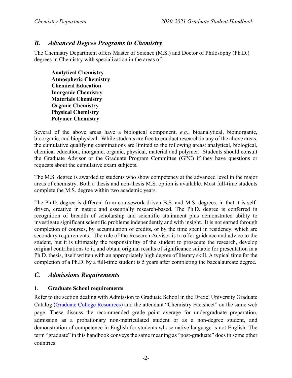# *B. Advanced Degree Programs in Chemistry*

The Chemistry Department offers Master of Science (M.S.) and Doctor of Philosophy (Ph.D.) degrees in Chemistry with specialization in the areas of:

**Analytical Chemistry Atmospheric Chemistry Chemical Education Inorganic Chemistry Materials Chemistry Organic Chemistry Physical Chemistry Polymer Chemistry**

Several of the above areas have a biological component, *e.g.*, bioanalytical, bioinorganic, bioorganic, and biophysical. While students are free to conduct research in any of the above areas, the cumulative qualifying examinations are limited to the following areas: analytical, biological, chemical education, inorganic, organic, physical, material and polymer. Students should consult the Graduate Advisor or the Graduate Program Committee (GPC) if they have questions or requests about the cumulative exam subjects.

The M.S. degree is awarded to students who show competency at the advanced level in the major areas of chemistry. Both a thesis and non-thesis M.S. option is available. Most full-time students complete the M.S. degree within two academic years.

The Ph.D. degree is different from coursework-driven B.S. and M.S. degrees, in that it is selfdriven, creative in nature and essentially research-based. The Ph.D. degree is conferred in recognition of breadth of scholarship and scientific attainment plus demonstrated ability to investigate significant scientific problems independently and with insight. It is not earned through completion of courses, by accumulation of credits, or by the time spent in residency, which are secondary requirements. The role of the Research Advisor is to offer guidance and advice to the student, but it is ultimately the responsibility of the student to prosecute the research, develop original contributions to it, and obtain original results of significance suitable for presentation in a Ph.D. thesis, itself written with an appropriately high degree of literary skill. A typical time for the completion of a Ph.D. by a full-time student is 5 years after completing the baccalaureate degree.

# *C. Admissions Requirements*

#### **1. Graduate School requirements**

Refer to the section dealing with Admission to Graduate School in the Drexel University Graduate Catalog (Graduate College Resources) and the attendant "Chemistry Factsheet" on the same web page. These discuss the recommended grade point average for undergraduate preparation, admission as a probationary non-matriculated student or as a non-degree student, and demonstration of competence in English for students whose native language is not English. The term "graduate" in this handbook conveys the same meaning as "post-graduate" does in some other countries.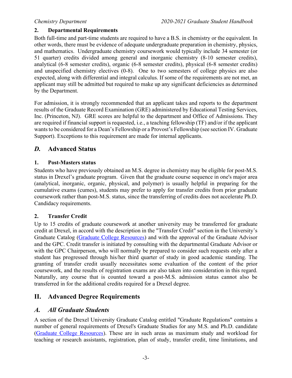### **2. Departmental Requirements**

Both full-time and part-time students are required to have a B.S. in chemistry or the equivalent. In other words, there must be evidence of adequate undergraduate preparation in chemistry, physics, and mathematics. Undergraduate chemistry coursework would typically include 34 semester (or 51 quarter) credits divided among general and inorganic chemistry (8-10 semester credits), analytical (6-8 semester credits), organic (6-8 semester credits), physical (6-8 semester credits) and unspecified chemistry electives (0-8). One to two semesters of college physics are also expected, along with differential and integral calculus. If some of the requirements are not met, an applicant may still be admitted but required to make up any significant deficiencies as determined by the Department.

For admission, it is strongly recommended that an applicant takes and reports to the department results of the Graduate Record Examination (GRE) administered by Educational Testing Services, Inc. (Princeton, NJ). GRE scores are helpful to the department and Office of Admissions. They are required if financial support is requested, i.e., a teaching fellowship (TF) and/or if the applicant wants to be considered for a Dean's Fellowship or a Provost's Fellowship (see section IV. Graduate Support). Exceptions to this requirement are made for internal applicants.

# *D.* **Advanced Status**

### **1. Post-Masters status**

Students who have previously obtained an M.S. degree in chemistry may be eligible for post-M.S. status in Drexel's graduate program. Given that the graduate course sequence in one's major area (analytical, inorganic, organic, physical, and polymer) is usually helpful in preparing for the cumulative exams (cumes), students may prefer to apply for transfer credits from prior graduate coursework rather than post-M.S. status, since the transferring of credits does not accelerate Ph.D. Candidacy requirements.

### **2. Transfer Credit**

Up to 15 credits of graduate coursework at another university may be transferred for graduate credit at Drexel, in accord with the description in the "Transfer Credit" section in the University's Graduate Catalog (Graduate College Resources) and with the approval of the Graduate Advisor and the GPC. Credit transfer is initiated by consulting with the departmental Graduate Advisor or with the GPC Chairperson, who will normally be prepared to consider such requests only after a student has progressed through his/her third quarter of study in good academic standing. The granting of transfer credit usually necessitates some evaluation of the content of the prior coursework, and the results of registration exams are also taken into consideration in this regard. Naturally, any course that is counted toward a post-M.S. admission status cannot also be transferred in for the additional credits required for a Drexel degree.

# **II. Advanced Degree Requirements**

# *A. All Graduate Students*

A section of the Drexel University Graduate Catalog entitled "Graduate Regulations" contains a number of general requirements of Drexel's Graduate Studies for any M.S. and Ph.D. candidate (Graduate College Resources). These are in such areas as maximum study and workload for teaching or research assistants, registration, plan of study, transfer credit, time limitations, and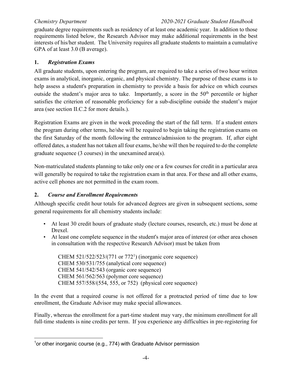graduate degree requirements such as residency of at least one academic year. In addition to those requirements listed below, the Research Advisor may make additional requirements in the best interests of his/her student. The University requires all graduate students to maintain a cumulative GPA of at least 3.0 (B average).

### **1.** *Registration Exams*

All graduate students, upon entering the program, are required to take a series of two hour written exams in analytical, inorganic, organic, and physical chemistry. The purpose of these exams is to help assess a student's preparation in chemistry to provide a basis for advice on which courses outside the student's major area to take. Importantly, a score in the  $50<sup>th</sup>$  percentile or higher satisfies the criterion of reasonable proficiency for a sub-discipline outside the student's major area (see section II.C.2 for more details.).

Registration Exams are given in the week preceding the start of the fall term. If a student enters the program during other terms, he/she will be required to begin taking the registration exams on the first Saturday of the month following the entrance/admission to the program. If, after eight offered dates, a student has not taken all four exams, he/she will then be required to do the complete graduate sequence (3 courses) in the unexamined area(s).

Non-matriculated students planning to take only one or a few courses for credit in a particular area will generally be required to take the registration exam in that area. For these and all other exams, active cell phones are not permitted in the exam room.

### **2.** *Course and Enrollment Requirements*

Although specific credit hour totals for advanced degrees are given in subsequent sections, some general requirements for all chemistry students include:

- At least 30 credit hours of graduate study (lecture courses, research, etc.) must be done at Drexel.
- At least one complete sequence in the student's major area of interest (or other area chosen in consultation with the respective Research Advisor) must be taken from

CHEM 521/522/523/(771 or 7721 ) (inorganic core sequence) CHEM 530/531/755 (analytical core sequence) CHEM 541/542/543 (organic core sequence) CHEM 561/562/563 (polymer core sequence) CHEM 557/558/(554, 555, or 752) (physical core sequence)

In the event that a required course is not offered for a protracted period of time due to low enrollment, the Graduate Advisor may make special allowances.

Finally, whereas the enrollment for a part-time student may vary, the minimum enrollment for all full-time students is nine credits per term. If you experience any difficulties in pre-registering for

<sup>&</sup>lt;sup>1</sup>or other inorganic course (e.g., 774) with Graduate Advisor permission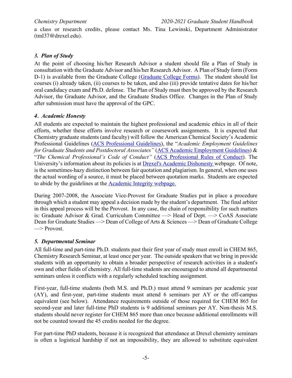a class or research credits, please contact Ms. Tina Lewinski, Department Administrator (tml37@drexel.edu).

# *3. Plan of Study*

At the point of choosing his/her Research Advisor a student should file a Plan of Study in consultation with the Graduate Advisor and his/her Research Advisor. A Plan of Study form (Form D-1) is available from the Graduate College (Graduate College Forms). The student should list courses (i) already taken, (ii) courses to be taken, and also (iii) provide tentative dates for his/her oral candidacy exam and Ph.D. defense. The Plan of Study must then be approved by the Research Advisor, the Graduate Advisor, and the Graduate Studies Office. Changes in the Plan of Study after submission must have the approval of the GPC.

### *4. Academic Honesty*

All students are expected to maintain the highest professional and academic ethics in all of their efforts, whether these efforts involve research or coursework assignments. It is expected that Chemistry graduate students (and faculty) will follow the American Chemical Society's Academic Professional Guidelines (ACS Professional Guidelines), the "*Academic Employment Guidelines for Graduate Students and Postdoctoral Associates"* (ACS Academic Employment Guidelines) & "*The Chemical Professional's Code of Conduct"* (ACS Professional Rules of Conduct). The University's information about its policies is at Drexel's Academic Dishonesty webpage. Of note, is the sometimes-hazy distinction between fair quotation and plagiarism. In general, when one uses the actual wording of a source, it must be placed between quotation marks. Students are expected to abide by the guidelines at the Academic Integrity webpage.

During 2007-2008, the Associate Vice-Provost for Graduate Studies put in place a procedure through which a student may appeal a decision made by the student's department. The final arbiter in this appeal process will be the Provost. In any case, the chain of responsibility for such matters is: Graduate Advisor & Grad. Curriculum Committee  $\Rightarrow$  Head of Dept.  $\Rightarrow$  CoAS Associate Dean for Graduate Studies ––> Dean of College of Arts & Sciences ––> Dean of Graduate College  $\Rightarrow$  Provost.

### *5. Departmental Seminar*

All full-time and part-time Ph.D. students past their first year of study must enroll in CHEM 865, Chemistry Research Seminar, at least once per year. The outside speakers that we bring in provide students with an opportunity to obtain a broader perspective of research activities in a student's own and other fields of chemistry. All full-time students are encouraged to attend all departmental seminars unless it conflicts with a regularly scheduled teaching assignment.

First-year, full-time students (both M.S. and Ph.D.) must attend 9 seminars per academic year (AY), and first-year, part-time students must attend 6 seminars per AY or the off-campus equivalent (see below). Attendance requirements outside of those required for CHEM 865 for second-year and later full-time PhD students is 9 additional seminars per AY. Non-thesis M.S. students should never register for CHEM 865 more than once because additional enrollments will not be counted toward the 45 credits needed for the degree.

For part-time PhD students, because it is recognized that attendance at Drexel chemistry seminars is often a logistical hardship if not an impossibility, they are allowed to substitute equivalent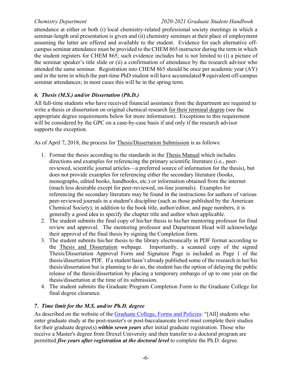attendance at either or both (i) local chemistry-related professional society meetings in which a seminar-length oral presentation is given and (ii) chemistry seminars at their place of employment assuming the latter are offered and available to the student. Evidence for each alternative offcampus seminar attendance must be provided to the CHEM 865 instructor during the term in which the student registers for CHEM 865; such evidence includes but is not limited to (i) a picture of the seminar speaker's title slide or (ii) a confirmation of attendance by the research advisor who attended the same seminar. Registration into CHEM 865 should be once per academic year (AY) and in the term in which the part-time PhD student will have accumulated **9** equivalent off-campus seminar attendances; in most cases this will be in the spring term.

### *6. Thesis (M.S.) and/or Dissertation (Ph.D.)*

All full-time students who have received financial assistance from the department are required to write a thesis or dissertation on original chemical research for their terminal degree (see the appropriate degree requirements below for more information). Exceptions to this requirement will be considered by the GPC on a case-by-case basis if and only if the research advisor supports the exception.

As of April 7, 2018, the process for Thesis/Dissertation Submission is as follows:

- 1. Format the thesis according to the standards in the Thesis Manual which includes directions and examples for referencing the primary scientific literature (i.e., peerreviewed, scientific journal articles—a preferred source of information for the thesis), but does not provide examples for referencing either the secondary literature (books, monographs, edited books, handbooks, etc.) or information obtained from the internet (much less desirable except for peer-reviewed, on-line journals). Examples for referencing the secondary literature may be found in the instructions for authors of various peer-reviewed journals in a student's discipline (such as those published by the American Chemical Society); in addition to the book title, author/editor, and page numbers, it is generally a good idea to specify the chapter title and author when applicable.
- 2. The student submits the final copy of his/her thesis to his/her mentoring professor for final review and approval. The mentoring professor and Department Head will acknowledge their approval of the final thesis by signing the Completion form.
- 3. The student submits his/her thesis to the library electronically in PDF format according to the Thesis and Dissertation webpage. Importantly, a scanned copy of the signed Thesis/Dissertation Approval Form and Signature Page is included as Page 1 of the thesis/dissertation PDF. If a student hasn't already published some of the research in her/his thesis/dissertation but is planning to do so, the student has the option of delaying the public release of the thesis/dissertation by placing a temporary embargo of up to one year on the thesis/dissertation at the time of its submission.
- 4. The student submits the Graduate Program Completion Form to the Graduate College for final degree clearance.

### *7. Time limit for the M.S. and/or Ph.D. degree*

As described on the website of the Graduate College, Forms and Policies: "[All] students who enter graduate study at the post-master's or post-baccalaureate level must complete their studies for their graduate degree(s) *within seven years* after initial graduate registration. Those who receive a Master's degree from Drexel University and then transfer to a doctoral program are permitted *five years after registration at the doctoral level* to complete the Ph.D. degree.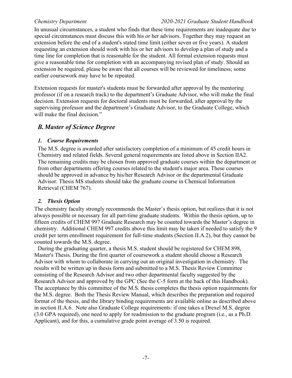In unusual circumstances, a student who finds that these time requirements are inadequate due to special circumstances must discuss this with his or her advisors. Together they may request an extension before the end of a student's stated time limit (either seven or five years). A student requesting an extension should work with his or her advisors to develop a plan of study and a time line for completion that is reasonable for the student. All formal extension requests must give a reasonable time for completion with an accompanying revised plan of study. Should an extension be required, please be aware that all courses will be reviewed for timeliness; some earlier coursework may have to be repeated.

Extension requests for master's students must be forwarded after approval by the mentoring professor (if on a research track) to the department's Graduate Advisor, who will make the final decision. Extension requests for doctoral students must be forwarded, after approval by the supervising professor and the department's Graduate Advisor, to the Graduate College, which will make the final decision."

## *B.Master of Science Degree*

#### *1. Course Requirements*

The M.S. degree is awarded after satisfactory completion of a minimum of 45 credit hours in Chemistry and related fields. Several general requirements are listed above in Section IIA2. The remaining credits may be chosen from approved graduate courses within the department or from other departments offering courses related to the student's major area. These courses should be approved in advance by his/her Research Advisor or the departmental Graduate Advisor. Thesis MS students should take the graduate course in Chemical Information Retrieval (CHEM 767).

#### *2. Thesis Option*

The chemistry faculty strongly recommends the Master's thesis option, but realizes that it is not always possible or necessary for all part-time graduate students. Within the thesis option, up to fifteen credits of CHEM 997 Graduate Research may be counted towards the Master's degree in chemistry. Additional CHEM 997 credits above this limit may be taken if needed to satisfy the 9 credit per term enrollment requirement for full-time students (Section II.A.2), but they cannot be counted towards the M.S. degree.

During the graduating quarter, a thesis M.S. student should be registered for CHEM 898, Master's Thesis. During the first quarter of coursework a student should choose a Research Advisor with whom to collaborate in carrying out an original investigation in chemistry. The results will be written up in thesis form and submitted to a M.S. Thesis Review Committee consisting of the Research Advisor and two other departmental faculty suggested by the Research Advisor and approved by the GPC (See the C-5 form at the back of this Handbook). The acceptance by this committee of the M.S. thesis completes the thesis option requirements for the M.S. degree. Both the Thesis Review Manual, which describes the preparation and required format of the thesis, and the library binding requirements are available online as described above in section II.A.6. Note also Graduate College requirements: if one takes a Drexel M.S. degree (3.0 GPA required), one need to apply for readmission to the graduate program (i.e., as a Ph.D. Applicant), and for this, a cumulative grade point average of 3.50 is required.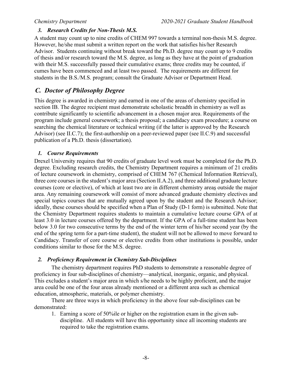### *3. Research Credits for Non-Thesis M.S.*

A student may count up to nine credits of CHEM 997 towards a terminal non-thesis M.S. degree. However, he/she must submit a written report on the work that satisfies his/her Research Advisor. Students continuing without break toward the Ph.D. degree may count up to 9 credits of thesis and/or research toward the M.S. degree, as long as they have at the point of graduation with their M.S. successfully passed their cumulative exams; three credits may be counted, if cumes have been commenced and at least two passed. The requirements are different for students in the B.S./M.S. program; consult the Graduate Advisor or Department Head.

# *C. Doctor of Philosophy Degree*

This degree is awarded in chemistry and earned in one of the areas of chemistry specified in section IB. The degree recipient must demonstrate scholastic breadth in chemistry as well as contribute significantly to scientific advancement in a chosen major area. Requirements of the program include general coursework; a thesis proposal; a candidacy exam procedure; a course on searching the chemical literature or technical writing (if the latter is approved by the Research Advisor) (see II.C.7); the first-authorship on a peer-reviewed paper (see II.C.9) and successful publication of a Ph.D. thesis (dissertation).

### *1. Course Requirements*

Drexel University requires that 90 credits of graduate level work must be completed for the Ph.D. degree. Excluding research credits, the Chemistry Department requires a minimum of 21 credits of lecture coursework in chemistry, comprised of CHEM 767 (Chemical Information Retrieval), three core courses in the student's major area (Section II.A.2), and three additional graduate lecture courses (core or elective), of which at least two are in different chemistry areas outside the major area. Any remaining coursework will consist of more advanced graduate chemistry electives and special topics courses that are mutually agreed upon by the student and the Research Advisor; ideally, these courses should be specified when a Plan of Study (D-1 form) is submitted. Note that the Chemistry Department requires students to maintain a cumulative lecture course GPA of at least 3.0 in lecture courses offered by the department. If the GPA of a full-time student has been below 3.0 for two consecutive terms by the end of the winter term of his/her second year (by the end of the spring term for a part-time student), the student will not be allowed to move forward to Candidacy. Transfer of core course or elective credits from other institutions is possible, under conditions similar to those for the M.S. degree.

#### *2. Proficiency Requirement in Chemistry Sub-Disciplines*

The chemistry department requires PhD students to demonstrate a reasonable degree of proficiency in four sub-disciplines of chemistry—analytical, inorganic, organic, and physical. This excludes a student's major area in which s/he needs to be highly proficient, and the major area could be one of the four areas already mentioned or a different area such as chemical education, atmospheric, materials, or polymer chemistry.

There are three ways in which proficiency in the above four sub-disciplines can be demonstrated:

1. Earning a score of 50%ile or higher on the registration exam in the given subdiscipline. All students will have this opportunity since all incoming students are required to take the registration exams.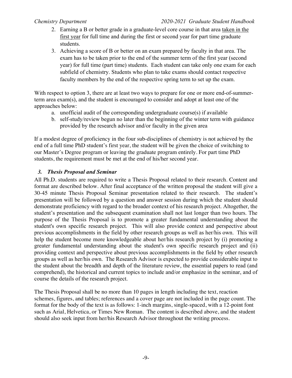- 2. Earning a B or better grade in a graduate-level core course in that area taken in the first year for full time and during the first or second year for part time graduate students.
- 3. Achieving a score of B or better on an exam prepared by faculty in that area. The exam has to be taken prior to the end of the summer term of the first year (second year) for full time (part time) students. Each student can take only one exam for each subfield of chemistry. Students who plan to take exams should contact respective faculty members by the end of the respective spring term to set up the exam.

With respect to option 3, there are at least two ways to prepare for one or more end-of-summerterm area exam(s), and the student is encouraged to consider and adopt at least one of the approaches below:

- a. unofficial audit of the corresponding undergraduate course(s) if available
- b. self-study/review begun no later than the beginning of the winter term with guidance provided by the research advisor and/or faculty in the given area

If a modest degree of proficiency in the four sub-disciplines of chemistry is not achieved by the end of a full time PhD student's first year, the student will be given the choice of switching to our Master's Degree program or leaving the graduate program entirely. For part time PhD students, the requirement must be met at the end of his/her second year.

### *3. Thesis Proposal and Seminar*

All Ph.D. students are required to write a Thesis Proposal related to their research. Content and format are described below. After final acceptance of the written proposal the student will give a 30-45 minute Thesis Proposal Seminar presentation related to their research. The student's presentation will be followed by a question and answer session during which the student should demonstrate proficiency with regard to the broader context of his research project. Altogether, the student's presentation and the subsequent examination shall not last longer than two hours. The purpose of the Thesis Proposal is to promote a greater fundamental understanding about the student's own specific research project. This will also provide context and perspective about previous accomplishments in the field by other research groups as well as her/his own. This will help the student become more knowledgeable about her/his research project by (i) promoting a greater fundamental understanding about the student's own specific research project and (ii) providing context and perspective about previous accomplishments in the field by other research groups as well as her/his own. The Research Advisor is expected to provide considerable input to the student about the breadth and depth of the literature review, the essential papers to read (and comprehend), the historical and current topics to include and/or emphasize in the seminar, and of course the details of the research project.

The Thesis Proposal shall be no more than 10 pages in length including the text, reaction schemes, figures, and tables; references and a cover page are not included in the page count. The format for the body of the text is as follows: 1-inch margins, single-spaced, with a 12-point font such as Arial, Helvetica, or Times New Roman. The content is described above, and the student should also seek input from her/his Research Advisor throughout the writing process.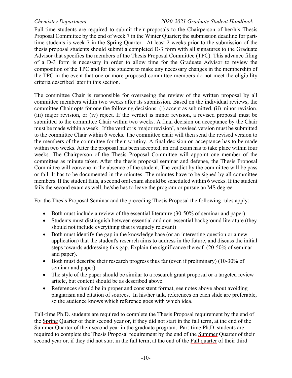Full-time students are required to submit their proposals to the Chairperson of her/his Thesis Proposal Committee by the end of week 7 in the Winter Quarter; the submission deadline for parttime students is week 7 in the Spring Quarter. At least 2 weeks prior to the submission of the thesis proposal students should submit a completed D-3 form with all signatures to the Graduate Advisor that specifies the members of the Thesis Proposal Committee (TPC). This advance filing of a D-3 form is necessary in order to allow time for the Graduate Advisor to review the composition of the TPC and for the student to make any necessary changes in the membership of the TPC in the event that one or more proposed committee members do not meet the eligibility criteria described later in this section.

The committee Chair is responsible for overseeing the review of the written proposal by all committee members within two weeks after its submission. Based on the individual reviews, the committee Chair opts for one the following decisions: (i) accept as submitted, (ii) minor revision, (iii) major revision, or (iv) reject. If the verdict is minor revision, a revised proposal must be submitted to the committee Chair within two weeks. A final decision on acceptance by the Chair must be made within a week. If the verdict is 'major revision', a revised version must be submitted to the committee Chair within 6 weeks. The committee chair will then send the revised version to the members of the committee for their scrutiny. A final decision on acceptance has to be made within two weeks. After the proposal has been accepted, an oral exam has to take place within four weeks. The Chairperson of the Thesis Proposal Committee will appoint one member of the committee as minute taker. After the thesis proposal seminar and defense, the Thesis Proposal Committee will convene in the absence of the student. The verdict by the committee will be pass or fail. It has to be documented in the minutes. The minutes have to be signed by all committee members. If the student fails, a second oral exam should be scheduled within 6 weeks. If the student fails the second exam as well, he/she has to leave the program or pursue an MS degree.

For the Thesis Proposal Seminar and the preceding Thesis Proposal the following rules apply:

- Both must include a review of the essential literature (30-50% of seminar and paper)
- Students must distinguish between essential and non-essential background literature (they should not include everything that is vaguely relevant)
- Both must identify the gap in the knowledge base (or an interesting question or a new application) that the student's research aims to address in the future, and discuss the initial steps towards addressing this gap. Explain the significance thereof. (20-50% of seminar and paper).
- Both must describe their research progress thus far (even if preliminary) (10-30% of seminar and paper)
- The style of the paper should be similar to a research grant proposal or a targeted review article, but content should be as described above.
- References should be in proper and consistent format, see notes above about avoiding plagiarism and citation of sources. In his/her talk, references on each slide are preferable, so the audience knows which reference goes with which idea.

Full-time Ph.D. students are required to complete the Thesis Proposal requirement by the end of the Spring Quarter of their second year or, if they did not start in the fall term, at the end of the Summer Quarter of their second year in the graduate program. Part-time Ph.D. students are required to complete the Thesis Proposal requirement by the end of the Summer Quarter of their second year or, if they did not start in the fall term, at the end of the Fall quarter of their third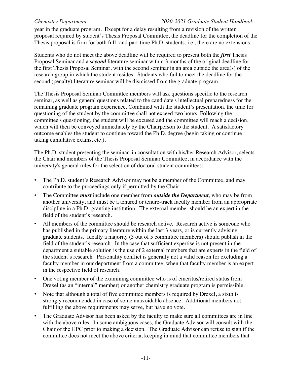year in the graduate program. Except for a delay resulting from a revision of the written proposal required by student's Thesis Proposal Committee, the deadline for the completion of the Thesis proposal is firm for both full- and part-time Ph.D. students, i.e., there are no extensions.

Students who do not meet the above deadline will be required to present both the *first* Thesis Proposal Seminar and a *second* literature seminar within 3 months of the original deadline for the first Thesis Proposal Seminar, with the second seminar in an area outside the area(s) of the research group in which the student resides. Students who fail to meet the deadline for the second (penalty) literature seminar will be dismissed from the graduate program.

The Thesis Proposal Seminar Committee members will ask questions specific to the research seminar, as well as general questions related to the candidate's intellectual preparedness for the remaining graduate program experience. Combined with the student's presentation, the time for questioning of the student by the committee shall not exceed two hours. Following the committee's questioning, the student will be excused and the committee will reach a decision, which will then be conveyed immediately by the Chairperson to the student. A satisfactory outcome enables the student to continue toward the Ph.D. degree (begin taking or continue taking cumulative exams, etc.).

The Ph.D. student presenting the seminar, in consultation with his/her Research Advisor, selects the Chair and members of the Thesis Proposal Seminar Committee, in accordance with the university's general rules for the selection of doctoral student committees:

- ! The Ph.D. student's Research Advisor may not be a member of the Committee, and may contribute to the proceedings only if permitted by the Chair.
- ! The Committee *must* include one member from *outside the Department*, who may be from another university, and must be a tenured or tenure-track faculty member from an appropriate discipline in a Ph.D.-granting institution. The external member should be an expert in the field of the student's research.
- All members of the committee should be research active. Research active is someone who has published in the primary literature within the last 3 years, or is currently advising graduate students. Ideally a majority (3 out of 5 committee members) should publish in the field of the student's research. In the case that sufficient expertise is not present in the department a suitable solution is the use of 2 external members that are experts in the field of the student's research. Personality conflict is generally not a valid reason for excluding a faculty member in our department from a committee, when that faculty member is an expert in the respective field of research.
- ! One voting member of the examining committee who is of emeritus/retired status from Drexel (as an "internal" member) or another chemistry graduate program is permissible.
- Note that although a total of five committee members is required by Drexel, a sixth is strongly recommended in case of some unavoidable absence. Additional members not fulfilling the above requirements may serve, but have no vote.
- The Graduate Advisor has been asked by the faculty to make sure all committees are in line with the above rules. In some ambiguous cases, the Graduate Advisor will consult with the Chair of the GPC prior to making a decision. The Graduate Advisor can refuse to sign if the committee does not meet the above criteria, keeping in mind that committee members that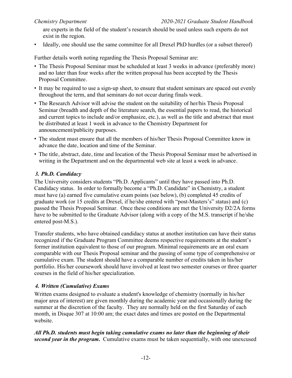are experts in the field of the student's research should be used unless such experts do not exist in the region.

! Ideally, one should use the same committee for all Drexel PhD hurdles (or a subset thereof)

Further details worth noting regarding the Thesis Proposal Seminar are:

- ! The Thesis Proposal Seminar must be scheduled at least 3 weeks in advance (preferably more) and no later than four weeks after the written proposal has been accepted by the Thesis Proposal Committee.
- ! It may be required to use a sign-up sheet, to ensure that student seminars are spaced out evenly throughout the term, and that seminars do not occur during finals week.
- ! The Research Advisor will advise the student on the suitability of her/his Thesis Proposal Seminar (breadth and depth of the literature search, the essential papers to read, the historical and current topics to include and/or emphasize, etc.), as well as the title and abstract that must be distributed at least 1 week in advance to the Chemistry Department for announcement/publicity purposes.
- ! The student must ensure that all the members of his/her Thesis Proposal Committee know in advance the date, location and time of the Seminar.
- ! The title, abstract, date, time and location of the Thesis Proposal Seminar must be advertised in writing in the Department and on the departmental web site at least a week in advance.

### *3. Ph.D. Candidacy*

The University considers students "Ph.D. Applicants" until they have passed into Ph.D. Candidacy status. In order to formally become a "Ph.D. Candidate" in Chemistry, a student must have (a) earned five cumulative exam points (see below), (b) completed 45 credits of graduate work (or 15 credits at Drexel, if he/she entered with "post-Masters's" status) and (c) passed the Thesis Proposal Seminar. Once these conditions are met the University D2/2A forms have to be submitted to the Graduate Advisor (along with a copy of the M.S. transcript if he/she entered post-M.S.).

Transfer students, who have obtained candidacy status at another institution can have their status recognized if the Graduate Program Committee deems respective requirements at the student's former institution equivalent to those of our program. Minimal requirements are an oral exam comparable with our Thesis Proposal seminar and the passing of some type of comprehensive or cumulative exam. The student should have a comparable number of credits taken in his/her portfolio. His/her coursework should have involved at least two semester courses or three quarter courses in the field of his/her specialization.

#### *4. Written (Cumulative) Exams*

Written exams designed to evaluate a student's knowledge of chemistry (normally in his/her major area of interest) are given monthly during the academic year and occasionally during the summer at the discretion of the faculty. They are normally held on the first Saturday of each month, in Disque 307 at 10:00 am; the exact dates and times are posted on the Departmental website.

*All Ph.D. students must begin taking cumulative exams no later than the beginning of their second year in the program***.** Cumulative exams must be taken sequentially, with one unexcused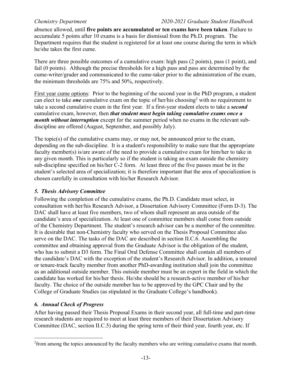absence allowed, until **five points are accumulated or ten exams have been taken**. Failure to accumulate 5 points after 10 exams is a basis for dismissal from the Ph.D. program. The Department requires that the student is registered for at least one course during the term in which he/she takes the first cume.

There are three possible outcomes of a cumulative exam: high pass (2 points), pass (1 point), and fail (0 points). Although the precise thresholds for a high pass and pass are determined by the cume-writer/grader and communicated to the cume-taker prior to the administration of the exam, the minimum thresholds are 75% and 50%, respectively.

First year cume options: Prior to the beginning of the second year in the PhD program, a student can elect to take *one* cumulative exam on the topic of her/his choosing<sup>2</sup> with no requirement to take a second cumulative exam in the first year. If a first-year student elects to take a *second* cumulative exam, however, then *that student must begin taking cumulative exams once a month without interruption* except for the summer period when no exams in the relevant subdiscipline are offered (August, September, and possibly July).

The topic(s) of the cumulative exams may, or may not, be announced prior to the exam, depending on the sub-discipline. It is a student's responsibility to make sure that the appropriate faculty member(s) is/are aware of the need to provide a cumulative exam for him/her to take in any given month. This is particularly so if the student is taking an exam outside the chemistry sub-discipline specified on his/her C-2 form. At least three of the five passes must be in the student's selected area of specialization; it is therefore important that the area of specialization is chosen carefully in consultation with his/her Research Advisor.

#### *5. Thesis Advisory Committee*

Following the completion of the cumulative exams, the Ph.D. Candidate must select, in consultation with her/his Research Advisor, a Dissertation Advisory Committee (Form D-3). The DAC shall have at least five members, two of whom shall represent an area outside of the candidate's area of specialization. At least one of committee members shall come from outside of the Chemistry Department. The student's research advisor can be a member of the committee. It is desirable that non-Chemistry faculty who served on the Thesis Proposal Committee also serve on the DAC. The tasks of the DAC are described in section II.C.6. Assembling the committee and obtaining approval from the Graduate Advisor is the obligation of the student, who has to submit a D3 form. The Final Oral Defense Committee shall contain all members of the candidate's DAC with the exception of the student's Research Advisor. In addition, a tenured or tenure-track faculty member from another PhD-awarding institution shall join the committee as an additional outside member. This outside member must be an expert in the field in which the candidate has worked for his/her thesis. He/she should be a research-active member of his/her faculty. The choice of the outside member has to be approved by the GPC Chair and by the College of Graduate Studies (as stipulated in the Graduate College's handbook).

#### *6. Annual Check of Progress*

After having passed their Thesis Proposal Exams in their second year, all full-time and part-time research students are required to meet at least three members of their Dissertation Advisory Committee (DAC, section II.C.5) during the spring term of their third year, fourth year, etc. If

 $2$  from among the topics announced by the faculty members who are writing cumulative exams that month.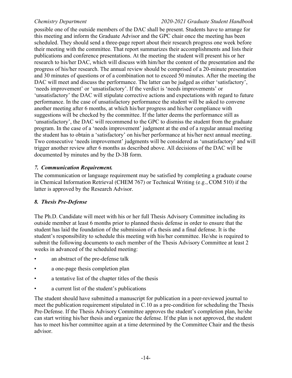possible one of the outside members of the DAC shall be present. Students have to arrange for this meeting and inform the Graduate Advisor and the GPC chair once the meeting has been scheduled. They should send a three-page report about their research progress one week before their meeting with the committee. That report summarizes their accomplishments and lists their publications and conference presentations. At the meeting the student will present his or her research to his/her DAC, which will discuss with him/her the content of the presentation and the progress of his/her research. The annual review should be comprised of a 20-minute presentation and 30 minutes of questions or of a combination not to exceed 50 minutes. After the meeting the DAC will meet and discuss the performance. The latter can be judged as either 'satisfactory', 'needs improvement' or 'unsatisfactory'. If the verdict is 'needs improvements' or 'unsatisfactory' the DAC will stipulate corrective actions and expectations with regard to future performance. In the case of unsatisfactory performance the student will be asked to convene another meeting after 6 months, at which his/her progress and his/her compliance with suggestions will be checked by the committee. If the latter deems the performance still as 'unsatisfactory', the DAC will recommend to the GPC to dismiss the student from the graduate program. In the case of a 'needs improvement' judgment at the end of a regular annual meeting the student has to obtain a 'satisfactory' on his/her performance at his/her next annual meeting. Two consecutive 'needs improvement' judgments will be considered as 'unsatisfactory' and will trigger another review after 6 months as described above. All decisions of the DAC will be documented by minutes and by the D-3B form.

#### *7. Communication Requirement.*

The communication or language requirement may be satisfied by completing a graduate course in Chemical Information Retrieval (CHEM 767) or Technical Writing (e.g., COM 510) if the latter is approved by the Research Advisor.

#### *8. Thesis Pre-Defense*

The Ph.D. Candidate will meet with his or her full Thesis Advisory Committee including its outside member at least 6 months prior to planned thesis defense in order to ensure that the student has laid the foundation of the submission of a thesis and a final defense. It is the student's responsibility to schedule this meeting with his/her committee. He/she is required to submit the following documents to each member of the Thesis Advisory Committee at least 2 weeks in advanced of the scheduled meeting:

- an abstract of the pre-defense talk
- a one-page thesis completion plan
- a tentative list of the chapter titles of the thesis
- a current list of the student's publications

The student should have submitted a manuscript for publication in a peer-reviewed journal to meet the publication requirement stipulated in C.10 as a pre-condition for scheduling the Thesis Pre-Defense. If the Thesis Advisory Committee approves the student's completion plan, he/she can start writing his/her thesis and organize the defense. If the plan is not approved, the student has to meet his/her committee again at a time determined by the Committee Chair and the thesis advisor.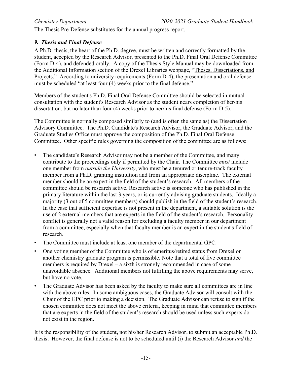The Thesis Pre-Defense substitutes for the annual progress report.

### *9. Thesis and Final Defense*

A Ph.D. thesis, the heart of the Ph.D. degree, must be written and correctly formatted by the student, accepted by the Research Advisor, presented to the Ph.D. Final Oral Defense Committee (Form D-4), and defended orally. A copy of the Thesis Style Manual may be downloaded from the Additional Information section of the Drexel Libraries webpage, "Theses, Dissertations, and Projects." According to university requirements (Form D-4), the presentation and oral defense must be scheduled "at least four (4) weeks prior to the final defense."

Members of the student's Ph.D. Final Oral Defense Committee should be selected in mutual consultation with the student's Research Advisor as the student nears completion of her/his dissertation, but no later than four (4) weeks prior to her/his final defense (Form D-5).

The Committee is normally composed similarly to (and is often the same as) the Dissertation Advisory Committee. The Ph.D. Candidate's Research Advisor, the Graduate Advisor, and the Graduate Studies Office must approve the composition of the Ph.D. Final Oral Defense Committee. Other specific rules governing the composition of the committee are as follows:

- ! The candidate's Research Advisor may not be a member of the Committee, and many contribute to the proceedings only if permitted by the Chair. The Committee *must* include one member from *outside the University*, who must be a tenured or tenure-track faculty member from a Ph.D. granting institution and from an appropriate discipline. The external member should be an expert in the field of the student's research. All members of the committee should be research active. Research active is someone who has published in the primary literature within the last 3 years, or is currently advising graduate students. Ideally a majority (3 out of 5 committee members) should publish in the field of the student's research. In the case that sufficient expertise is not present in the department, a suitable solution is the use of 2 external members that are experts in the field of the student's research. Personality conflict is generally not a valid reason for excluding a faculty member in our department from a committee, especially when that faculty member is an expert in the student's field of research*.*
- ! The Committee must include at least one member of the departmental GPC.
- ! One voting member of the Committee who is of emeritus/retired status from Drexel or another chemistry graduate program is permissible. Note that a total of five committee members is required by Drexel – a sixth is strongly recommended in case of some unavoidable absence. Additional members not fulfilling the above requirements may serve, but have no vote.
- ! The Graduate Advisor has been asked by the faculty to make sure all committees are in line with the above rules. In some ambiguous cases, the Graduate Advisor will consult with the Chair of the GPC prior to making a decision. The Graduate Advisor can refuse to sign if the chosen committee does not meet the above criteria, keeping in mind that committee members that are experts in the field of the student's research should be used unless such experts do not exist in the region.

It is the responsibility of the student, not his/her Research Advisor, to submit an acceptable Ph.D. thesis. However, the final defense is not to be scheduled until (i) the Research Advisor *and* the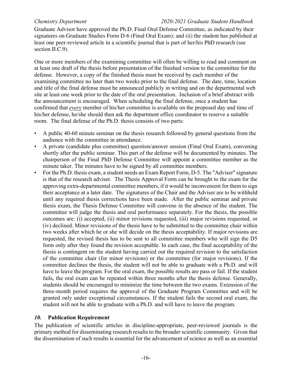Graduate Advisor have approved the Ph.D. Final Oral Defense Committee, as indicated by their signatures on Graduate Studies Form D-6 (Final Oral Exam); and (ii) the student has published at least one peer-reviewed article in a scientific journal that is part of her/his PhD research (see section II.C.9).

One or more members of the examining committee will often be willing to read and comment on at least one draft of the thesis before presentation of the finished version to the committee for the defense. However, a copy of the finished thesis must be received by each member of the examining committee no later than two weeks prior to the final defense. The date, time, location and title of the final defense must be announced publicly in writing and on the departmental web site at least one week prior to the date of the oral presentation. Inclusion of a brief abstract with the announcement is encouraged. When scheduling the final defense, once a student has confirmed that *every* member of his/her committee is available on the proposed day and time of his/her defense, he/she should then ask the department office coordinator to reserve a suitable room. The final defense of the Ph.D. thesis consists of two parts:

- A public 40-60 minute seminar on the thesis research followed by general questions from the audience with the committee in attendance.
- A private (candidate plus committee) question/answer session (Final Oral Exam), convening shortly after the public seminar. This part of the defense will be documented by minutes. The chairperson of the Final PhD Defense Committee will appoint a committee member as the minute taker. The minutes have to be signed by all committee members.
- For the Ph.D. thesis exam, a student needs an Exam Report Form, D-5. The "Adviser" signature is that of the research adviser. The Thesis Approval Form can be brought to the exam for the approving extra-departmental committee members, if it would be inconvenient for them to sign their acceptance at a later date. The signatures of the Chair and the Adviser are to be withheld until any required thesis corrections have been made. After the public seminar and private thesis exam, the Thesis Defense Committee will convene in the absence of the student. The committee will judge the thesis and oral performance separately. For the thesis, the possible outcomes are: (i) accepted, (ii) minor revisions requested, (iii) major revisions requested, or (iv) declined. Minor revisions of the thesis have to be submitted to the committee chair within two weeks after which he or she will decide on the thesis acceptability. If major revisions are requested, the revised thesis has to be sent to all committee members who will sign the D5 form only after they found the revision acceptable. In each case, the final acceptability of the thesis is contingent on the student having carried out the required revision to the satisfaction of the committee chair (for minor revisions) or the committee (for major revisions). If the committee declines the thesis, the student will not be able to graduate with a Ph.D. and will have to leave the program. For the oral exam, the possible results are pass or fail. If the student fails, the oral exam can be repeated within three months after the thesis defense. Generally, students should be encouraged to minimize the time between the two exams. Extension of the three-month period requires the approval of the Graduate Program Committee and will be granted only under exceptional circumstances. If the student fails the second oral exam, the student will not be able to graduate with a Ph.D. and will have to leave the program.

#### *10.* **Publication Requirement**

The publication of scientific articles in discipline-appropriate, peer-reviewed journals is the primary method for disseminating research results to the broader scientific community. Given that the dissemination of such results is essential for the advancement of science as well as an essential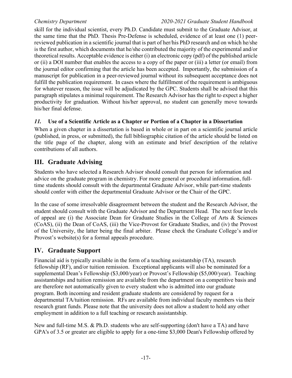skill for the individual scientist, every Ph.D. Candidate must submit to the Graduate Advisor, at the same time that the PhD. Thesis Pre-Defense is scheduled, evidence of at least one (1) peerreviewed publication in a scientific journal that is part of her/his PhD research and on which he/she is the first author, which documents that he/she contributed the majority of the experimental and/or theoretical results. Acceptable evidence is either (i) an electronic copy (pdf) of the published article or (ii) a DOI number that enables the access to a copy of the paper or (iii) a letter (or email) from the journal editor confirming that the article has been accepted. Importantly, the submission of a manuscript for publication in a peer-reviewed journal without its subsequent acceptance does not fulfill the publication requirement. In cases where the fulfillment of the requirement is ambiguous for whatever reason, the issue will be adjudicated by the GPC. Students shall be advised that this paragraph stipulates a minimal requirement. The Research Advisor has the right to expect a higher productivity for graduation. Without his/her approval, no student can generally move towards his/her final defense.

### *11.* **Use of a Scientific Article as a Chapter or Portion of a Chapter in a Dissertation**

When a given chapter in a dissertation is based in whole or in part on a scientific journal article (published, in press, or submitted), the full bibliographic citation of the article should be listed on the title page of the chapter, along with an estimate and brief description of the relative contributions of all authors.

# **III. Graduate Advising**

Students who have selected a Research Advisor should consult that person for information and advice on the graduate program in chemistry. For more general or procedural information, fulltime students should consult with the departmental Graduate Advisor, while part-time students should confer with either the departmental Graduate Advisor or the Chair of the GPC.

In the case of some irresolvable disagreement between the student and the Research Advisor, the student should consult with the Graduate Advisor and the Department Head. The next four levels of appeal are (i) the Associate Dean for Graduate Studies in the College of Arts & Sciences (CoAS), (ii) the Dean of CoAS, (iii) the Vice-Provost for Graduate Studies, and (iv) the Provost of the University, the latter being the final arbiter. Please check the Graduate College's and/or Provost's website(s) for a formal appeals procedure.

# **IV. Graduate Support**

Financial aid is typically available in the form of a teaching assistantship (TA), research fellowship (RF), and/or tuition remission. Exceptional applicants will also be nominated for a supplemental Dean's Fellowship (\$3,000/year) or Provost's Fellowship (\$5,000/year). Teaching assistantships and tuition remission are available from the department on a competitive basis and are therefore not automatically given to every student who is admitted into our graduate program. Both incoming and resident graduate students are considered by request for a departmental TA/tuition remission. RFs are available from individual faculty members via their research grant funds. Please note that the university does not allow a student to hold any other employment in addition to a full teaching or research assistantship.

New and full-time M.S. & Ph.D. students who are self-supporting (don't have a TA) and have GPA's of 3.5 or greater are eligible to apply for a one-time \$3,000 Dean's Fellowship offered by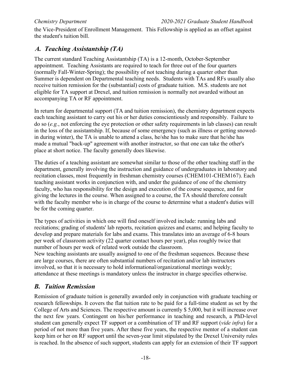the Vice-President of Enrollment Management. This Fellowship is applied as an offset against the student's tuition bill.

# *A. Teaching Assistantship (TA)*

The current standard Teaching Assistantship (TA) is a 12-month, October-September appointment. Teaching Assistants are required to teach for three out of the four quarters (normally Fall-Winter-Spring); the possibility of not teaching during a quarter other than Summer is dependent on Departmental teaching needs. Students with TAs and RFs usually also receive tuition remission for the (substantial) costs of graduate tuition. M.S. students are not eligible for TA support at Drexel, and tuition remission is normally not awarded without an accompanying TA or RF appointment.

In return for departmental support (TA and tuition remission), the chemistry department expects each teaching assistant to carry out his or her duties conscientiously and responsibly. Failure to do so (*e.g.*, not enforcing the eye protection or other safety requirements in lab classes) can result in the loss of the assistantship. If, because of some emergency (such as illness or getting snowedin during winter), the TA is unable to attend a class, he/she has to make sure that he/she has made a mutual "back-up" agreement with another instructor, so that one can take the other's place at short notice. The faculty generally does likewise.

The duties of a teaching assistant are somewhat similar to those of the other teaching staff in the department, generally involving the instruction and guidance of undergraduates in laboratory and recitation classes, most frequently in freshman chemistry courses (CHEM101-CHEM167). Each teaching assistant works in conjunction with, and under the guidance of one of the chemistry faculty, who has responsibility for the design and execution of the course sequence, and for giving the lectures in the course. When assigned to a course, the TA should therefore consult with the faculty member who is in charge of the course to determine what a student's duties will be for the coming quarter.

The types of activities in which one will find oneself involved include: running labs and recitations; grading of students' lab reports, recitation quizzes and exams; and helping faculty to develop and prepare materials for labs and exams. This translates into an average of 6-8 hours per week of classroom activity (22 quarter contact hours per year), plus roughly twice that number of hours per week of related work outside the classroom.

New teaching assistants are usually assigned to one of the freshman sequences. Because these are large courses, there are often substantial numbers of recitation and/or lab instructors involved, so that it is necessary to hold informational/organizational meetings weekly; attendance at these meetings is mandatory unless the instructor in charge specifies otherwise.

# *B. Tuition Remission*

Remission of graduate tuition is generally awarded only in conjunction with graduate teaching or research fellowships. It covers the flat tuition rate to be paid for a full-time student as set by the College of Arts and Sciences. The respective amount is currently \$ 5,000, but it will increase over the next few years. Contingent on his/her performance in teaching and research, a PhD-level student can generally expect TF support or a combination of TF and RF support (*vide infra*) for a period of not more than five years. After these five years, the respective mentor of a student can keep him or her on RF support until the seven-year limit stipulated by the Drexel University rules is reached. In the absence of such support, students can apply for an extension of their TF support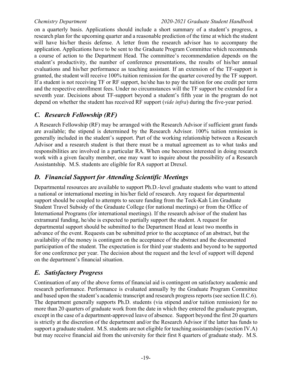on a quarterly basis. Applications should include a short summary of a student's progress, a research plan for the upcoming quarter and a reasonable prediction of the time at which the student will have his/her thesis defense. A letter from the research advisor has to accompany the application. Applications have to be sent to the Graduate Program Committee which recommends a course of action to the Department Head. The committee's recommendation depends on the student's productivity, the number of conference presentations, the results of his/her annual evaluations and his/her performance as teaching assistant. If an extension of the TF-support is granted, the student will receive 100% tuition remission for the quarter covered by the TF support. If a student is not receiving TF or RF support, he/she has to pay the tuition for one credit per term and the respective enrollment fees. Under no circumstances will the TF support be extended for a seventh year. Decisions about TF-support beyond a student's fifth year in the program do not depend on whether the student has received RF support (*vide infra*) during the five-year period.

# *C. Research Fellowship (RF)*

A Research Fellowship (RF) may be arranged with the Research Advisor if sufficient grant funds are available; the stipend is determined by the Research Advisor. 100% tuition remission is generally included in the student's support. Part of the working relationship between a Research Advisor and a research student is that there must be a mutual agreement as to what tasks and responsibilities are involved in a particular RA. When one becomes interested in doing research work with a given faculty member, one may want to inquire about the possibility of a Research Assistantship. M.S. students are eligible for RA support at Drexel.

# *D. Financial Support for Attending Scientific Meetings*

Departmental resources are available to support Ph.D.-level graduate students who want to attend a national or international meeting in his/her field of research. Any request for departmental support should be coupled to attempts to secure funding from the Teck-Kah Lim Graduate Student Travel Subsidy of the Graduate College (for national meetings) or from the Office of International Programs (for international meetings). If the research advisor of the student has extramural funding, he/she is expected to partially support the student. A request for departmental support should be submitted to the Department Head at least two months in advance of the event. Requests can be submitted prior to the acceptance of an abstract, but the availability of the money is contingent on the acceptance of the abstract and the documented participation of the student. The expectation is for third year students and beyond to be supported for one conference per year. The decision about the request and the level of support will depend on the department's financial situation.

# *E. Satisfactory Progress*

Continuation of any of the above forms of financial aid is contingent on satisfactory academic and research performance. Performance is evaluated annually by the Graduate Program Committee and based upon the student's academic transcript and research progress reports (see section II.C.6). The department generally supports Ph.D. students (via stipend and/or tuition remission) for no more than 20 quarters of graduate work from the date in which they entered the graduate program, except in the case of a department-approved leave of absence. Support beyond the first 20 quarters is strictly at the discretion of the department and/or the Research Advisor if the latter has funds to support a graduate student. M.S. students are not eligible for teaching assistantships (section IV.A) but may receive financial aid from the university for their first 8 quarters of graduate study. M.S.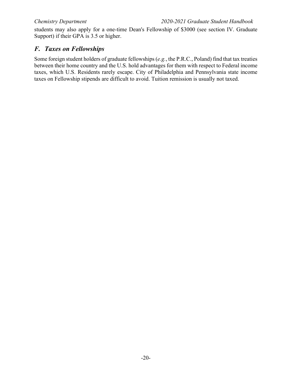students may also apply for a one-time Dean's Fellowship of \$3000 (see section IV. Graduate Support) if their GPA is 3.5 or higher.

# *F. Taxes on Fellowships*

Some foreign student holders of graduate fellowships(*e.g.*, the P.R.C., Poland) find that tax treaties between their home country and the U.S. hold advantages for them with respect to Federal income taxes, which U.S. Residents rarely escape. City of Philadelphia and Pennsylvania state income taxes on Fellowship stipends are difficult to avoid. Tuition remission is usually not taxed.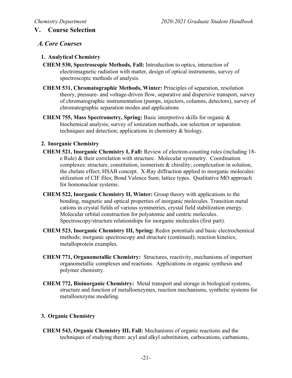### **V. Course Selection**

### *A.Core Courses*

#### **1. Analytical Chemistry**

- **CHEM 530, Spectroscopic Methods, Fall:** Introduction to optics, interaction of electromagnetic radiation with matter, design of optical instruments, survey of spectroscopic methods of analysis.
- **CHEM 531, Chromatographic Methods, Winter:** Principles of separation, resolution theory, pressure- and voltage-driven flow, separative and dispersive transport, survey of chromatographic instrumentation (pumps, injectors, columns, detectors), survey of chromatographic separation modes and applications
- **CHEM 755, Mass Spectrometry, Spring:** Basic interpretive skills for organic & biochemical analysis; survey of ionization methods, ion selection or separation techniques and detection; applications in chemistry & biology.

#### **2. Inorganic Chemistry**

- **CHEM 521, Inorganic Chemistry I, Fall:** Review of electron-counting rules (including 18 e Rule) & their correlation with structure. Molecular symmetry. Coordination complexes: structure, constitution, isomerism & chirality; complexation in solution, the chelate effect; HSAB concept. X-Ray diffraction applied to inorganic molecules: utilization of CIF files; Bond Valence Sum; lattice types. Qualitative MO approach for homonuclear systems.
- **CHEM 522, Inorganic Chemistry II, Winter:** Group theory with applications to the bonding, magnetic and optical properties of inorganic molecules. Transition metal cations in crystal fields of various symmetries, crystal field stabilization energy. Molecular orbital construction for polyatomic and centric molecules. Spectroscopy/structure relationships for inorganic molecules (first part).
- **CHEM 523, Inorganic Chemistry III, Spring:** Redox potentials and basic electrochemical methods; inorganic spectroscopy and structure (continued); reaction kinetics; metalloprotein examples.
- **CHEM 771, Organometallic Chemistry:** Structures, reactivity, mechanisms of important organometallic complexes and reactions. Applications in organic synthesis and polymer chemistry.
- **CHEM 772, Bioinorganic Chemistry:** Metal transport and storage in biological systems, structure and function of metalloenzymes, reaction mechanisms, synthetic systems for metalloenzyme modeling.

#### **3. Organic Chemistry**

**CHEM 543, Organic Chemistry III, Fall:** Mechanisms of organic reactions and the techniques of studying them: acyl and alkyl substitution, carbocations, carbanions,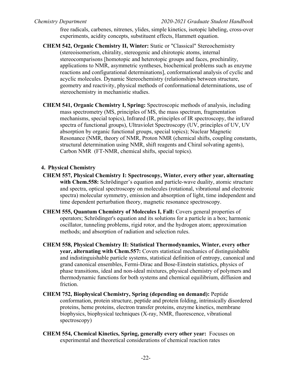free radicals, carbenes, nitrenes, ylides, simple kinetics, isotopic labeling, cross-over experiments, acidity concepts, substituent effects, Hammett equation.

- **CHEM 542, Organic Chemistry II, Winter:** Static or "Classical" Stereochemistry (stereoisomerism, chirality, stereogenic and chirotopic atoms, internal stereocomparisons [homotopic and heterotopic groups and faces, prochirality, applications to NMR, asymmetric syntheses, biochemical problems such as enzyme reactions and configurational determinations], conformational analysis of cyclic and acyclic molecules. Dynamic Stereochemistry (relationships between structure, geometry and reactivity, physical methods of conformational determinations, use of stereochemistry in mechanistic studies.
- **CHEM 541, Organic Chemistry I, Spring:** Spectroscopic methods of analysis, including mass spectrometry (MS, principles of MS, the mass spectrum, fragmentation mechanisms, special topics), Infrared (IR, principles of IR spectroscopy, the infrared spectra of functional groups), Ultraviolet Spectroscopy (UV, principles of UV, UV absorption by organic functional groups, special topics); Nuclear Magnetic Resonance (NMR, theory of NMR, Proton NMR (chemical shifts, coupling constants, structural determination using NMR, shift reagents and Chiral solvating agents), Carbon NMR (FT-NMR, chemical shifts, special topics).

### **4. Physical Chemistry**

- **CHEM 557, Physical Chemistry I: Spectroscopy, Winter, every other year, alternating** with Chem.558: Schrödinger's equation and particle-wave duality, atomic structure and spectra, optical spectroscopy on molecules (rotational, vibrational and electronic spectra) molecular symmetry, emission and absorption of light, time independent and time dependent perturbation theory, magnetic resonance spectroscopy.
- **CHEM 555, Quantum Chemistry of Molecules I, Fall:** Covers general properties of operators; Schrödinger's equation and its solutions for a particle in a box; harmonic oscillator, tunneling problems, rigid rotor, and the hydrogen atom; approximation methods; and absorption of radiation and selection rules.
- **CHEM 558, Physical Chemistry II: Statistical Thermodynamics, Winter, every other year, alternating with Chem.557:** Covers statistical mechanics of distinguishable and indistinguishable particle systems, statistical definition of entropy, canonical and grand canonical ensembles, Fermi-Dirac and Bose-Einstein statistics, physics of phase transitions, ideal and non-ideal mixtures, physical chemistry of polymers and thermodynamic functions for both systems and chemical equilibrium, diffusion and friction.
- **CHEM 752, Biophysical Chemistry, Spring (depending on demand):** Peptide conformation, protein structure, peptide and protein folding, intrinsically disordered proteins, heme proteins, electron transfer proteins, enzyme kinetics, membrane biophysics, biophysical techniques (X-ray, NMR, fluorescence, vibrational spectroscopy)
- **CHEM 554, Chemical Kinetics, Spring, generally every other year:** Focuses on experimental and theoretical considerations of chemical reaction rates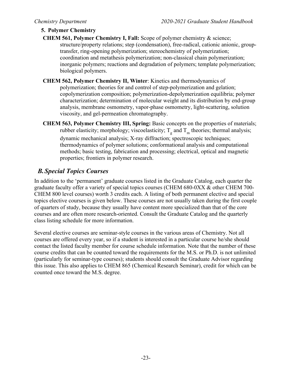## **5. Polymer Chemistry**

- **CHEM 561, Polymer Chemistry I, Fall:** Scope of polymer chemistry & science; structure/property relations; step (condensation), free-radical, cationic anionic, grouptransfer, ring-opening polymerization; stereochemistry of polymerization; coordination and metathesis polymerization; non-classical chain polymerization; inorganic polymers; reactions and degradation of polymers; template polymerization; biological polymers.
- **CHEM 562, Polymer Chemistry II, Winter**: Kinetics and thermodynamics of polymerization; theories for and control of step-polymerization and gelation; copolymerization composition; polymerization-depolymerization equilibria; polymer characterization; determination of molecular weight and its distribution by end-group analysis, membrane osmometry, vapor-phase osmometry, light-scattering, solution viscosity, and gel-permeation chromatography.
- **CHEM 563, Polymer Chemistry III, Spring:** Basic concepts on the properties of materials; rubber elasticity; morphology; viscoelasticity;  $T_g$  and  $T_m$  theories; thermal analysis; dynamic mechanical analysis; X-ray diffraction; spectroscopic techniques; thermodynamics of polymer solutions; conformational analysis and computational methods; basic testing, fabrication and processing; electrical, optical and magnetic properties; frontiers in polymer research.

# *B.Special Topics Courses*

In addition to the 'permanent' graduate courses listed in the Graduate Catalog, each quarter the graduate faculty offer a variety of special topics courses (CHEM 680-0XX & other CHEM 700- CHEM 800 level courses) worth 3 credits each. A listing of both permanent elective and special topics elective courses is given below. These courses are not usually taken during the first couple of quarters of study, because they usually have content more specialized than that of the core courses and are often more research-oriented. Consult the Graduate Catalog and the quarterly class listing schedule for more information.

Several elective courses are seminar-style courses in the various areas of Chemistry. Not all courses are offered every year, so if a student is interested in a particular course he/she should contact the listed faculty member for course schedule information. Note that the number of these course credits that can be counted toward the requirements for the M.S. or Ph.D. is not unlimited (particularly for seminar-type courses); students should consult the Graduate Advisor regarding this issue. This also applies to CHEM 865 (Chemical Research Seminar), credit for which can be counted once toward the M.S. degree.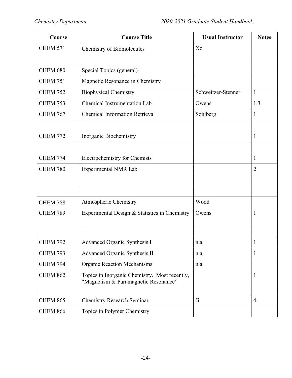| Course          | <b>Course Title</b>                                                                   | <b>Usual Instructor</b> | <b>Notes</b>   |
|-----------------|---------------------------------------------------------------------------------------|-------------------------|----------------|
| <b>CHEM 571</b> | Chemistry of Biomolecules                                                             | Xo                      |                |
|                 |                                                                                       |                         |                |
| <b>CHEM 680</b> | Special Topics (general)                                                              |                         |                |
| <b>CHEM 751</b> | Magnetic Resonance in Chemistry                                                       |                         |                |
| <b>CHEM 752</b> | <b>Biophysical Chemistry</b>                                                          | Schweitzer-Stenner      | $\mathbf{1}$   |
| <b>CHEM 753</b> | <b>Chemical Instrumentation Lab</b>                                                   | Owens                   | 1,3            |
| <b>CHEM 767</b> | <b>Chemical Information Retrieval</b>                                                 | Sohlberg                | $\mathbf{1}$   |
|                 |                                                                                       |                         |                |
| <b>CHEM 772</b> | Inorganic Biochemistry                                                                |                         | $\mathbf{1}$   |
|                 |                                                                                       |                         |                |
| <b>CHEM 774</b> | Electrochemistry for Chemists                                                         |                         | $\mathbf{1}$   |
| <b>CHEM 780</b> | <b>Experimental NMR Lab</b>                                                           |                         | $\overline{2}$ |
|                 |                                                                                       |                         |                |
|                 |                                                                                       |                         |                |
| <b>CHEM 788</b> | Atmospheric Chemistry                                                                 | Wood                    |                |
| <b>CHEM 789</b> | Experimental Design & Statistics in Chemistry                                         | Owens                   | $\mathbf{1}$   |
|                 |                                                                                       |                         |                |
|                 |                                                                                       |                         |                |
| <b>CHEM 792</b> | Advanced Organic Synthesis I                                                          | n.a.                    | $\mathbf{1}$   |
| <b>CHEM 793</b> | Advanced Organic Synthesis II                                                         | n.a.                    | 1              |
| <b>CHEM 794</b> | <b>Organic Reaction Mechanisms</b>                                                    | n.a.                    |                |
| <b>CHEM 862</b> | Topics in Inorganic Chemistry. Most recently,<br>"Magnetism & Paramagnetic Resonance" |                         | $\mathbf{1}$   |
| <b>CHEM 865</b> | <b>Chemistry Research Seminar</b>                                                     | $J_i$                   | $\overline{4}$ |
| <b>CHEM 866</b> | Topics in Polymer Chemistry                                                           |                         |                |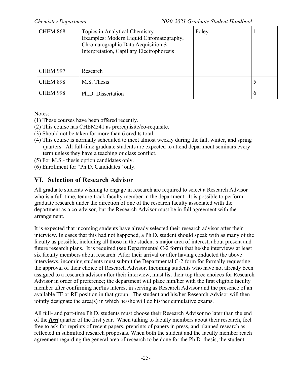| <b>CHEM 868</b> | Topics in Analytical Chemistry<br>Examples: Modern Liquid Chromatography,<br>Chromatographic Data Acquisition &<br>Interpretation, Capillary Electrophoresis | Foley |               |
|-----------------|--------------------------------------------------------------------------------------------------------------------------------------------------------------|-------|---------------|
| <b>CHEM 997</b> | Research                                                                                                                                                     |       |               |
| <b>CHEM 898</b> | M.S. Thesis                                                                                                                                                  |       |               |
| <b>CHEM 998</b> | Ph.D. Dissertation                                                                                                                                           |       | $\mathfrak b$ |

Notes:

- (1) These courses have been offered recently.
- (2) This course has CHEM541 as prerequisite/co-requisite.
- (3) Should not be taken for more than 6 credits total.
- (4) This course is normally scheduled to meet almost weekly during the fall, winter, and spring quarters. All full-time graduate students are expected to attend department seminars every term unless they have a teaching or class conflict.
- (5) For M.S.- thesis option candidates only.
- (6) Enrollment for "Ph.D. Candidates" only.

# **VI. Selection of Research Advisor**

All graduate students wishing to engage in research are required to select a Research Advisor who is a full-time, tenure-track faculty member in the department. It is possible to perform graduate research under the direction of one of the research faculty associated with the department as a co-advisor, but the Research Advisor must be in full agreement with the arrangement.

It is expected that incoming students have already selected their research advisor after their interview. In cases that this had not happened, a Ph.D. student should speak with as many of the faculty as possible, including all those in the student's major area of interest, about present and future research plans. It is required (see Departmental C-2 form) that he/she interviews at least six faculty members about research. After their arrival or after having conducted the above interviews, incoming students must submit the Departmental C-2 form for formally requesting the approval of their choice of Research Advisor. Incoming students who have not already been assigned to a research advisor after their interview, must list their top three choices for Research Advisor in order of preference; the department will place him/her with the first eligible faculty member after confirming her/his interest in serving as Research Advisor and the presence of an available TF or RF position in that group. The student and his/her Research Advisor will then jointly designate the area(s) in which he/she will do his/her cumulative exams.

All full- and part-time Ph.D. students must choose their Research Advisor no later than the end of the *first* quarter of the first year. When talking to faculty members about their research, feel free to ask for reprints of recent papers, preprints of papers in press, and planned research as reflected in submitted research proposals. When both the student and the faculty member reach agreement regarding the general area of research to be done for the Ph.D. thesis, the student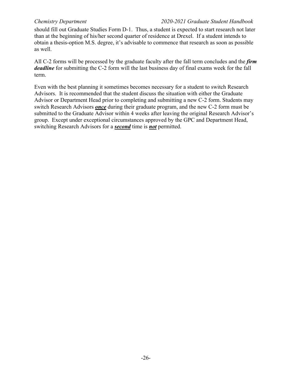should fill out Graduate Studies Form D-1. Thus, a student is expected to start research not later than at the beginning of his/her second quarter of residence at Drexel. If a student intends to obtain a thesis-option M.S. degree, it's advisable to commence that research as soon as possible as well.

All C-2 forms will be processed by the graduate faculty after the fall term concludes and the *firm deadline* for submitting the C-2 form will the last business day of final exams week for the fall term.

Even with the best planning it sometimes becomes necessary for a student to switch Research Advisors. It is recommended that the student discuss the situation with either the Graduate Advisor or Department Head prior to completing and submitting a new C-2 form. Students may switch Research Advisors *once* during their graduate program, and the new C-2 form must be submitted to the Graduate Advisor within 4 weeks after leaving the original Research Advisor's group. Except under exceptional circumstances approved by the GPC and Department Head, switching Research Advisors for a *second* time is *not* permitted.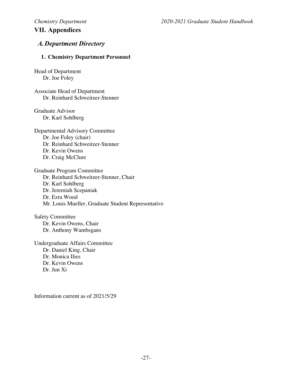# **VII. Appendices**

# *A.Department Directory*

#### **1. Chemistry Department Personnel**

Head of Department Dr. Joe Foley

Associate Head of Department Dr. Reinhard Schweitzer-Stenner

Graduate Advisor Dr. Karl Sohlberg

Departmental Advisory Committee Dr. Joe Foley (chair) Dr. Reinhard Schweitzer-Stenner Dr. Kevin Owens Dr. Craig McClure

Graduate Program Committee Dr. Reinhard Schweitzer-Stenner, Chair Dr. Karl Sohlberg Dr. Jeremiah Scepaniak Dr. Ezra Wood Mr. Louis Mueller, Graduate Student Representative

Safety Committee Dr. Kevin Owens, Chair Dr. Anthony Wambsgans

Undergraduate Affairs Committee Dr. Daniel King, Chair Dr. Monica Ilies Dr. Kevin Owens Dr. Jun Xi

Information current as of 2021/5/29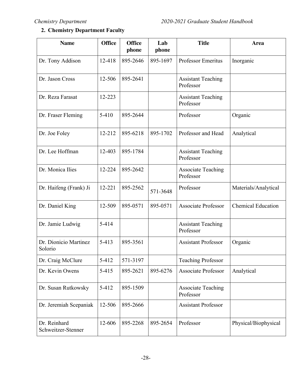# **2. Chemistry Department Faculty**

| <b>Name</b>                        | <b>Office</b> | <b>Office</b><br>phone | Lab<br>phone | <b>Title</b>                           | Area                      |
|------------------------------------|---------------|------------------------|--------------|----------------------------------------|---------------------------|
| Dr. Tony Addison                   | 12-418        | 895-2646               | 895-1697     | Professor Emeritus                     | Inorganic                 |
| Dr. Jason Cross                    | 12-506        | 895-2641               |              | <b>Assistant Teaching</b><br>Professor |                           |
| Dr. Reza Farasat                   | 12-223        |                        |              | <b>Assistant Teaching</b><br>Professor |                           |
| Dr. Fraser Fleming                 | $5 - 410$     | 895-2644               |              | Professor                              | Organic                   |
| Dr. Joe Foley                      | 12-212        | 895-6218               | 895-1702     | Professor and Head                     | Analytical                |
| Dr. Lee Hoffman                    | 12-403        | 895-1784               |              | <b>Assistant Teaching</b><br>Professor |                           |
| Dr. Monica Ilies                   | 12-224        | 895-2642               |              | <b>Associate Teaching</b><br>Professor |                           |
| Dr. Haifeng (Frank) Ji             | 12-221        | 895-2562               | 571-3648     | Professor                              | Materials/Analytical      |
| Dr. Daniel King                    | 12-509        | 895-0571               | 895-0571     | <b>Associate Professor</b>             | <b>Chemical Education</b> |
| Dr. Jamie Ludwig                   | 5-414         |                        |              | <b>Assistant Teaching</b><br>Professor |                           |
| Dr. Dionicio Martinez<br>Solorio   | $5 - 413$     | 895-3561               |              | <b>Assistant Professor</b>             | Organic                   |
| Dr. Craig McClure                  | 5-412         | 571-3197               |              | <b>Teaching Professor</b>              |                           |
| Dr. Kevin Owens                    | $5 - 415$     | 895-2621               | 895-6276     | <b>Associate Professor</b>             | Analytical                |
| Dr. Susan Rutkowsky                | 5-412         | 895-1509               |              | <b>Associate Teaching</b><br>Professor |                           |
| Dr. Jeremiah Scepaniak             | 12-506        | 895-2666               |              | <b>Assistant Professor</b>             |                           |
| Dr. Reinhard<br>Schweitzer-Stenner | 12-606        | 895-2268               | 895-2654     | Professor                              | Physical/Biophysical      |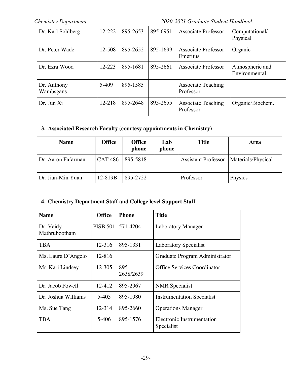| Dr. Karl Sohlberg        | 12-222 | 895-2653 | 895-6951 | Associate Professor                    | Computational/<br>Physical       |
|--------------------------|--------|----------|----------|----------------------------------------|----------------------------------|
| Dr. Peter Wade           | 12-508 | 895-2652 | 895-1699 | <b>Associate Professor</b><br>Emeritus | Organic                          |
| Dr. Ezra Wood            | 12-223 | 895-1681 | 895-2661 | Associate Professor                    | Atmospheric and<br>Environmental |
| Dr. Anthony<br>Wambsgans | 5-409  | 895-1585 |          | <b>Associate Teaching</b><br>Professor |                                  |
| Dr. Jun Xi               | 12-218 | 895-2648 | 895-2655 | <b>Associate Teaching</b><br>Professor | Organic/Biochem.                 |

# **3. Associated Research Faculty (courtesy appointments in Chemistry)**

| <b>Name</b>        | <b>Office</b>  | <b>Office</b><br>phone | Lab<br>phone | <b>Title</b>               | Area               |
|--------------------|----------------|------------------------|--------------|----------------------------|--------------------|
| Dr. Aaron Fafarman | <b>CAT 486</b> | 895-5818               |              | <b>Assistant Professor</b> | Materials/Physical |
| Dr. Jian-Min Yuan  | 12-819B        | 895-2722               |              | Professor                  | Physics            |

### **4. Chemistry Department Staff and College level Support Staff**

| <b>Name</b>                | <b>Office</b>   | <b>Phone</b>      | <b>Title</b>                             |
|----------------------------|-----------------|-------------------|------------------------------------------|
| Dr. Vaidy<br>Mathrubootham | <b>PISB 501</b> | 571-4204          | <b>Laboratory Manager</b>                |
| <b>TBA</b>                 | 12-316          | 895-1331          | <b>Laboratory Specialist</b>             |
| Ms. Laura D'Angelo         | 12-816          |                   | Graduate Program Administrator           |
| Mr. Kari Lindsey           | 12-305          | 895-<br>2638/2639 | Office Services Coordinator              |
| Dr. Jacob Powell           | 12-412          | 895-2967          | <b>NMR</b> Specialist                    |
| Dr. Joshua Williams        | 5-405           | 895-1980          | <b>Instrumentation Specialist</b>        |
| Ms. Sue Tang               | 12-314          | 895-2660          | <b>Operations Manager</b>                |
| <b>TBA</b>                 | $5-406$         | 895-1576          | Electronic Instrumentation<br>Specialist |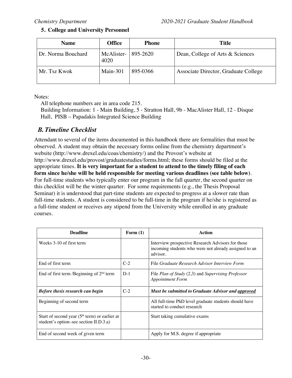### **5. College and University Personnel**

| <b>Name</b>        | <b>Office</b>      | <b>Phone</b> | Title                                |
|--------------------|--------------------|--------------|--------------------------------------|
| Dr. Norma Bouchard | McAlister-<br>4020 | 895-2620     | Dean, College of Arts & Sciences     |
| Mr. Tsz Kwok       | Main- $301$        | 895-0366     | Associate Director, Graduate College |

Notes:

All telephone numbers are in area code 215.

Building Information: 1 - Main Building, 5 - Stratton Hall, 9b - MacAlister Hall, 12 - Disque Hall, PISB – Papadakis Integrated Science Building

# *B.Timeline Checklist*

Attendant to several of the items documented in this handbook there are formalities that must be observed. A student may obtain the necessary forms online from the chemistry department's website (http://www.drexel.edu/coas/chemistry/) and the Provost's website at http://www.drexel.edu/provost/graduatestudies/forms.html; these forms should be filed at the appropriate times. **It is very important for a student to attend to the timely filing of each form since he/she will be held responsible for meeting various deadlines (see table below)**. For full-time students who typically enter our program in the fall quarter, the second quarter on this checklist will be the winter quarter. For some requirements (e.g., the Thesis Proposal Seminar) it is understood that part-time students are expected to progress at a slower rate than full-time students. A student is considered to be full-time in the program if he/she is registered as a full-time student or receives any stipend from the University while enrolled in any graduate courses.

| <b>Deadline</b>                                                                           | Form $(1)$ | Action                                                                                                                 |
|-------------------------------------------------------------------------------------------|------------|------------------------------------------------------------------------------------------------------------------------|
| Weeks 3-10 of first term                                                                  |            | Interview prospective Research Advisors for those<br>incoming students who were not already assigned to an<br>advisor. |
| End of first term                                                                         | $C-2$      | File Graduate Research Advisor Interview Form                                                                          |
| End of first term / Beginning of $2nd$ term                                               | $D-1$      | File Plan of Study $(2,3)$ and Supervising Professor<br><b>Appointment Form</b>                                        |
| <b>Before thesis research can begin</b>                                                   | $C-2$      | Must be submitted to Graduate Advisor and approved                                                                     |
| Beginning of second term                                                                  |            | All full-time PhD level graduate students should have<br>started to conduct research                                   |
| Start of second year $(5th$ term) or earlier at<br>student's option-see section II.D.3.a) |            | Start taking cumulative exams                                                                                          |
| End of second week of given term                                                          |            | Apply for M.S. degree if appropriate                                                                                   |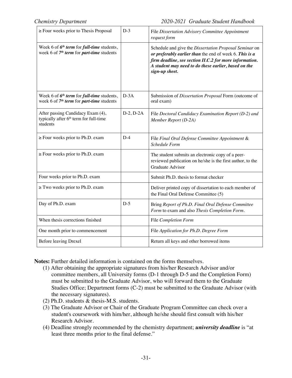| $\ge$ Four weeks prior to Thesis Proposal                                                                | $D-3$          | File Dissertation Advisory Committee Appointment<br>request form                                                                                                                                                                                       |
|----------------------------------------------------------------------------------------------------------|----------------|--------------------------------------------------------------------------------------------------------------------------------------------------------------------------------------------------------------------------------------------------------|
| Week 6 of 6 <sup>th</sup> term for full-time students,<br>week 6 of $7th$ term for part-time students    |                | Schedule and give the Dissertation Proposal Seminar on<br>or preferably earlier than the end of week 6. This is a<br>firm deadline, see section II.C.2 for more information.<br>A student may need to do these earlier, based on the<br>sign-up sheet. |
| Week 6 of $6^{th}$ term for full-time students,<br>week 6 of 7 <sup>th</sup> term for part-time students | $D-3A$         | Submission of Dissertation Proposal Form (outcome of<br>oral exam)                                                                                                                                                                                     |
| After passing Candidacy Exam (4),<br>typically after 6 <sup>th</sup> term for full-time<br>students      | $D-2$ , $D-2A$ | File Doctoral Candidacy Examination Report (D-2) and<br>Member Report (D-2A)                                                                                                                                                                           |
| $\ge$ Four weeks prior to Ph.D. exam                                                                     | $D-4$          | File Final Oral Defense Committee Appointment &<br><b>Schedule Form</b>                                                                                                                                                                                |
| $\ge$ Four weeks prior to Ph.D. exam                                                                     |                | The student submits an electronic copy of a peer-<br>reviewed publication on he/she is the first author, to the<br><b>Graduate Advisor</b>                                                                                                             |
| Four weeks prior to Ph.D. exam                                                                           |                | Submit Ph.D. thesis to format checker                                                                                                                                                                                                                  |
| $\ge$ Two weeks prior to Ph.D. exam                                                                      |                | Deliver printed copy of dissertation to each member of<br>the Final Oral Defense Committee (5)                                                                                                                                                         |
| Day of Ph.D. exam                                                                                        | $D-5$          | Bring Report of Ph.D. Final Oral Defense Committee<br>Form to exam and also Thesis Completion Form.                                                                                                                                                    |
| When thesis corrections finished                                                                         |                | File Completion Form                                                                                                                                                                                                                                   |
| One month prior to commencement                                                                          |                | File Application for Ph.D. Degree Form                                                                                                                                                                                                                 |
| Before leaving Drexel                                                                                    |                | Return all keys and other borrowed items                                                                                                                                                                                                               |

**Notes:** Further detailed information is contained on the forms themselves.

- (1) After obtaining the appropriate signatures from his/her Research Advisor and/or committee members, all University forms (D-1 through D-5 and the Completion Form) must be submitted to the Graduate Advisor, who will forward them to the Graduate Studies Office; Department forms (C-2) must be submitted to the Graduate Advisor (with the necessary signatures).
- (2) Ph.D. students & thesis-M.S. students.
- (3) The Graduate Advisor or Chair of the Graduate Program Committee can check over a student's coursework with him/her, although he/she should first consult with his/her Research Advisor.
- (4) Deadline strongly recommended by the chemistry department; *university deadline* is "at least three months prior to the final defense."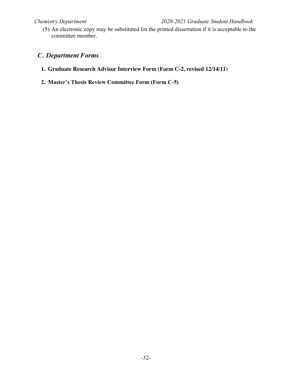(5) An electronic copy may be substituted for the printed dissertation if it is acceptable to the committee member.

# *C. Department Forms*

- **1. Graduate Research Advisor Interview Form (Form C-2, revised 12/14/11)**
- **2. Master's Thesis Review Committee Form (Form C-5)**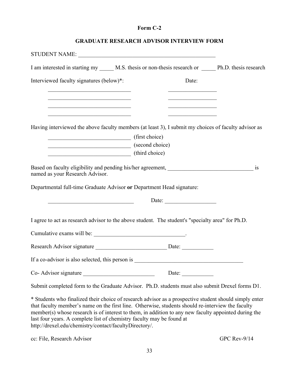#### **Form C-2**

| I am interested in starting my ______ M.S. thesis or non-thesis research or _______ Ph.D. thesis research                                                                  |                                         |    |
|----------------------------------------------------------------------------------------------------------------------------------------------------------------------------|-----------------------------------------|----|
| Interviewed faculty signatures (below)*:                                                                                                                                   | Date:                                   |    |
|                                                                                                                                                                            |                                         |    |
| <u> 1989 - Johann Barbara, martxa alemaniar arg</u><br><u> 1989 - Johann Barn, mars ann an t-Amhain an t-Amhain an t-Amhain an t-Amhain an t-Amhain an t-Amhain an t-A</u> | <u> 1989 - Johann Barbara, martin a</u> |    |
| Having interviewed the above faculty members (at least 3), I submit my choices of faculty advisor as                                                                       |                                         |    |
| (first choice)                                                                                                                                                             |                                         |    |
| $\frac{\sqrt{3}}{2}$ (second choice)<br>(third choice)                                                                                                                     |                                         |    |
| named as your Research Advisor.<br>Departmental full-time Graduate Advisor or Department Head signature:                                                                   |                                         | is |
|                                                                                                                                                                            | Date:                                   |    |
| I agree to act as research advisor to the above student. The student's "specialty area" for Ph.D.                                                                          |                                         |    |
|                                                                                                                                                                            |                                         |    |
|                                                                                                                                                                            |                                         |    |
|                                                                                                                                                                            |                                         |    |
|                                                                                                                                                                            |                                         |    |
| Submit completed form to the Graduate Advisor. Ph.D. students must also submit Drexel forms D1.                                                                            |                                         |    |

\* Students who finalized their choice of research advisor as a prospective student should simply enter that faculty member's name on the first line. Otherwise, students should re-interview the faculty member(s) whose research is of interest to them, in addition to any new faculty appointed during the last four years. A complete list of chemistry faculty may be found at http://drexel.edu/chemistry/contact/facultyDirectory/.

cc: File, Research Advisor GPC Rev-9/14